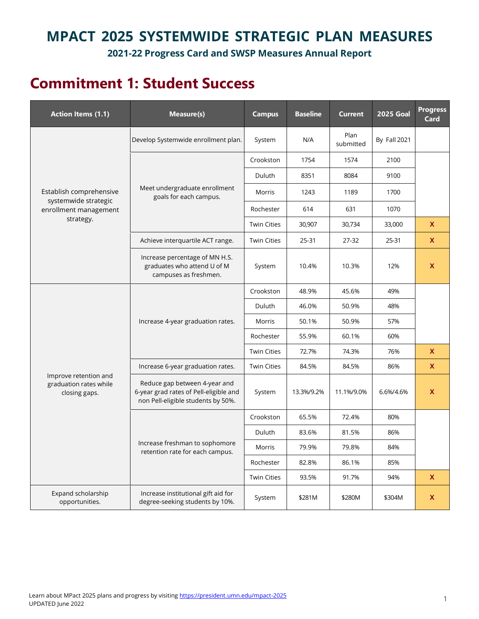### **MPACT 2025 SYSTEMWIDE STRATEGIC PLAN MEASURES**

**2021-22 Progress Card and SWSP Measures Annual Report**

## **Commitment 1: Student Success**

| <b>Action Items (1.1)</b>                                        | Measure(s)                                                                                                    | <b>Campus</b>      | <b>Baseline</b> | <b>Current</b>    | <b>2025 Goal</b> | <b>Progress</b><br>Card |
|------------------------------------------------------------------|---------------------------------------------------------------------------------------------------------------|--------------------|-----------------|-------------------|------------------|-------------------------|
|                                                                  | Develop Systemwide enrollment plan.                                                                           | System             | N/A             | Plan<br>submitted | By Fall 2021     |                         |
|                                                                  |                                                                                                               | Crookston          | 1754            | 1574              | 2100             |                         |
|                                                                  |                                                                                                               | Duluth             | 8351            | 8084              | 9100             |                         |
| Establish comprehensive<br>systemwide strategic                  | Meet undergraduate enrollment<br>goals for each campus.                                                       | Morris             | 1243            | 1189              | 1700             |                         |
| enrollment management                                            |                                                                                                               | Rochester          | 614             | 631               | 1070             |                         |
| strategy.                                                        |                                                                                                               | <b>Twin Cities</b> | 30,907          | 30,734            | 33,000           | X                       |
|                                                                  | Achieve interquartile ACT range.                                                                              | <b>Twin Cities</b> | 25-31           | 27-32             | 25-31            | X                       |
|                                                                  | Increase percentage of MN H.S.<br>graduates who attend U of M<br>campuses as freshmen.                        | System             | 10.4%           | 10.3%             | 12%              | X                       |
|                                                                  | Increase 4-year graduation rates.                                                                             | Crookston          | 48.9%           | 45.6%             | 49%              |                         |
|                                                                  |                                                                                                               | Duluth             | 46.0%           | 50.9%             | 48%              |                         |
|                                                                  |                                                                                                               | Morris             | 50.1%           | 50.9%             | 57%              |                         |
|                                                                  |                                                                                                               | Rochester          | 55.9%           | 60.1%             | 60%              |                         |
|                                                                  |                                                                                                               | <b>Twin Cities</b> | 72.7%           | 74.3%             | 76%              | X                       |
|                                                                  | Increase 6-year graduation rates.                                                                             | <b>Twin Cities</b> | 84.5%           | 84.5%             | 86%              | X                       |
| Improve retention and<br>graduation rates while<br>closing gaps. | Reduce gap between 4-year and<br>6-year grad rates of Pell-eligible and<br>non Pell-eligible students by 50%. | System             | 13.3%/9.2%      | 11.1%/9.0%        | 6.6%/4.6%        | X                       |
|                                                                  |                                                                                                               | Crookston          | 65.5%           | 72.4%             | 80%              |                         |
|                                                                  |                                                                                                               | Duluth             | 83.6%           | 81.5%             | 86%              |                         |
|                                                                  | Increase freshman to sophomore<br>retention rate for each campus.                                             | Morris             | 79.9%           | 79.8%             | 84%              |                         |
|                                                                  |                                                                                                               | Rochester          | 82.8%           | 86.1%             | 85%              |                         |
|                                                                  |                                                                                                               | <b>Twin Cities</b> | 93.5%           | 91.7%             | 94%              | X                       |
| Expand scholarship<br>opportunities.                             | Increase institutional gift aid for<br>degree-seeking students by 10%.                                        | System             | \$281M          | \$280M            | \$304M           | X                       |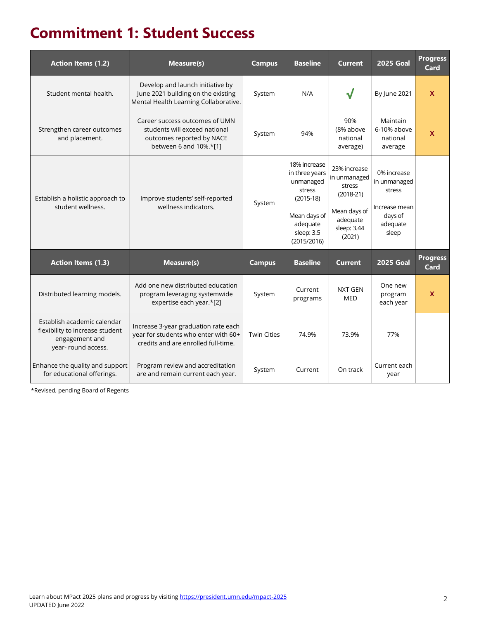## **Commitment 1: Student Success**

| <b>Action Items (1.2)</b>                                                                               | Measure(s)                                                                                                             | <b>Campus</b>      | <b>Baseline</b>                                                                                                               | <b>Current</b>                                                                                             | <b>2025 Goal</b>                                                                       | <b>Progress</b><br>Card |
|---------------------------------------------------------------------------------------------------------|------------------------------------------------------------------------------------------------------------------------|--------------------|-------------------------------------------------------------------------------------------------------------------------------|------------------------------------------------------------------------------------------------------------|----------------------------------------------------------------------------------------|-------------------------|
| Student mental health.                                                                                  | Develop and launch initiative by<br>June 2021 building on the existing<br>Mental Health Learning Collaborative.        | System             | N/A                                                                                                                           | V                                                                                                          | By June 2021                                                                           | $\mathbf{x}$            |
| Strengthen career outcomes<br>and placement.                                                            | Career success outcomes of UMN<br>students will exceed national<br>outcomes reported by NACE<br>between 6 and 10%.*[1] | System             | 94%                                                                                                                           | 90%<br>(8% above<br>national<br>average)                                                                   | Maintain<br>6-10% above<br>national<br>average                                         | $\mathbf x$             |
| Establish a holistic approach to<br>student wellness.                                                   | Improve students' self-reported<br>wellness indicators.                                                                | System             | 18% increase<br>in three years<br>unmanaged<br>stress<br>$(2015-18)$<br>Mean days of<br>adequate<br>sleep: 3.5<br>(2015/2016) | 23% increase<br>in unmanaged<br>stress<br>$(2018-21)$<br>Mean days of<br>adequate<br>sleep: 3.44<br>(2021) | 0% increase<br>in unmanaged<br>stress<br>Increase mean<br>days of<br>adequate<br>sleep |                         |
| <b>Action Items (1.3)</b>                                                                               | Measure(s)                                                                                                             | <b>Campus</b>      | <b>Baseline</b>                                                                                                               | <b>Current</b>                                                                                             | <b>2025 Goal</b>                                                                       | <b>Progress</b><br>Card |
| Distributed learning models.                                                                            | Add one new distributed education<br>program leveraging systemwide<br>expertise each year.*[2]                         | System             | Current<br>programs                                                                                                           | <b>NXT GEN</b><br>MED                                                                                      | One new<br>program<br>each year                                                        | $\mathsf{x}$            |
| Establish academic calendar<br>flexibility to increase student<br>engagement and<br>year- round access. | Increase 3-year graduation rate each<br>year for students who enter with 60+<br>credits and are enrolled full-time.    | <b>Twin Cities</b> | 74.9%                                                                                                                         | 73.9%                                                                                                      | 77%                                                                                    |                         |
| Enhance the quality and support<br>for educational offerings.                                           | Program review and accreditation<br>are and remain current each year.                                                  | System             | Current                                                                                                                       | On track                                                                                                   | Current each<br>year                                                                   |                         |

\*Revised, pending Board of Regents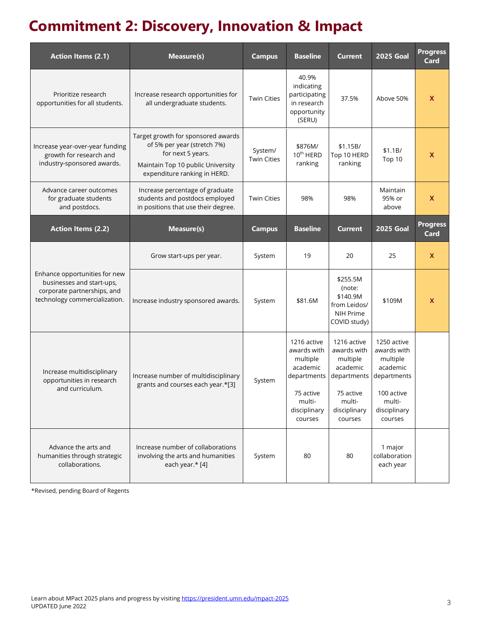# **Commitment 2: Discovery, Innovation & Impact**

| <b>Action Items (2.1)</b>                                                                                                  | Measure(s)                                                                                                                                                  | <b>Campus</b>                 | <b>Baseline</b>                                                                                                     | <b>Current</b>                                                                                                      | <b>2025 Goal</b>                                                                                                     | <b>Progress</b><br>Card |
|----------------------------------------------------------------------------------------------------------------------------|-------------------------------------------------------------------------------------------------------------------------------------------------------------|-------------------------------|---------------------------------------------------------------------------------------------------------------------|---------------------------------------------------------------------------------------------------------------------|----------------------------------------------------------------------------------------------------------------------|-------------------------|
| Prioritize research<br>opportunities for all students.                                                                     | Increase research opportunities for<br>all undergraduate students.                                                                                          | <b>Twin Cities</b>            | 40.9%<br>indicating<br>participating<br>in research<br>opportunity<br>(SERU)                                        | 37.5%                                                                                                               | Above 50%                                                                                                            | X                       |
| Increase year-over-year funding<br>growth for research and<br>industry-sponsored awards.                                   | Target growth for sponsored awards<br>of 5% per year (stretch 7%)<br>for next 5 years.<br>Maintain Top 10 public University<br>expenditure ranking in HERD. | System/<br><b>Twin Cities</b> | \$876M/<br>10 <sup>th</sup> HERD<br>ranking                                                                         | \$1.15B/<br>Top 10 HERD<br>ranking                                                                                  | \$1.1B/<br>Top 10                                                                                                    | X                       |
| Advance career outcomes<br>for graduate students<br>and postdocs.                                                          | Increase percentage of graduate<br>students and postdocs employed<br>in positions that use their degree.                                                    | <b>Twin Cities</b>            | 98%                                                                                                                 | 98%                                                                                                                 | Maintain<br>95% or<br>above                                                                                          | X                       |
| <b>Action Items (2.2)</b>                                                                                                  | Measure(s)                                                                                                                                                  | <b>Campus</b>                 | <b>Baseline</b>                                                                                                     | <b>Current</b>                                                                                                      | <b>2025 Goal</b>                                                                                                     | <b>Progress</b><br>Card |
| Enhance opportunities for new<br>businesses and start-ups,<br>corporate partnerships, and<br>technology commercialization. | Grow start-ups per year.                                                                                                                                    | System                        | 19                                                                                                                  | 20                                                                                                                  | 25                                                                                                                   | X                       |
|                                                                                                                            | Increase industry sponsored awards.                                                                                                                         | System                        | \$81.6M                                                                                                             | \$255.5M<br>(note:<br>\$140.9M<br>from Leidos/<br>NIH Prime<br>COVID study)                                         | \$109M                                                                                                               | X                       |
| Increase multidisciplinary<br>opportunities in research<br>and curriculum.                                                 | Increase number of multidisciplinary<br>grants and courses each year.*[3]                                                                                   | System                        | 1216 active<br>awards with<br>multiple<br>academic<br>departments<br>75 active<br>multi-<br>disciplinary<br>courses | 1216 active<br>awards with<br>multiple<br>academic<br>departments<br>75 active<br>multi-<br>disciplinary<br>courses | 1250 active<br>awards with<br>multiple<br>academic<br>departments<br>100 active<br>multi-<br>disciplinary<br>courses |                         |
| Advance the arts and<br>humanities through strategic<br>collaborations.                                                    | Increase number of collaborations<br>involving the arts and humanities<br>each year.* [4]                                                                   | System                        | 80                                                                                                                  | 80                                                                                                                  | 1 major<br>collaboration<br>each year                                                                                |                         |

\*Revised, pending Board of Regents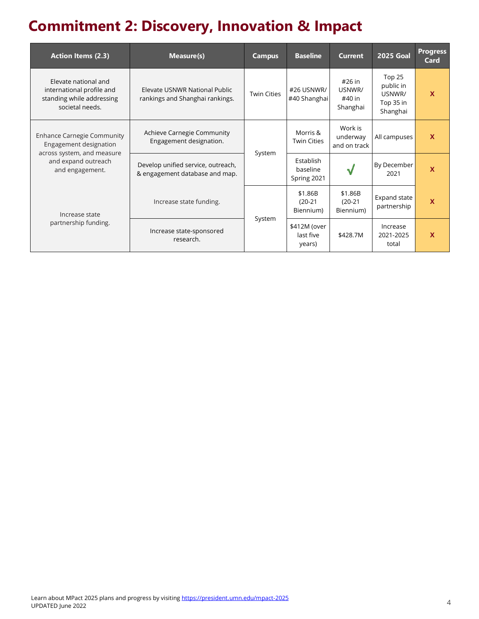# **Commitment 2: Discovery, Innovation & Impact**

| <b>Action Items (2.3)</b>                                                                                                           | Measure(s)                                                           | <b>Campus</b>      | <b>Baseline</b>                      | <b>Current</b>                         | <b>2025 Goal</b>                                       | <b>Progress</b><br>Card |
|-------------------------------------------------------------------------------------------------------------------------------------|----------------------------------------------------------------------|--------------------|--------------------------------------|----------------------------------------|--------------------------------------------------------|-------------------------|
| Elevate national and<br>international profile and<br>standing while addressing<br>societal needs.                                   | Elevate USNWR National Public<br>rankings and Shanghai rankings.     | <b>Twin Cities</b> | #26 USNWR/<br>#40 Shanghai           | #26 in<br>USNWR/<br>#40 in<br>Shanghai | Top 25<br>public in<br>USNWR/<br>Top 35 in<br>Shanghai | $\mathbf{x}$            |
| <b>Enhance Carnegie Community</b><br>Engagement designation<br>across system, and measure<br>and expand outreach<br>and engagement. | Achieve Carnegie Community<br>Engagement designation.                |                    | Morris &<br><b>Twin Cities</b>       | Work is<br>underway<br>and on track    | All campuses                                           | $\mathbf{x}$            |
|                                                                                                                                     | Develop unified service, outreach,<br>& engagement database and map. | System             | Establish<br>baseline<br>Spring 2021 |                                        | By December<br>2021                                    | $\mathbf x$             |
| Increase state<br>partnership funding.                                                                                              | Increase state funding.                                              |                    | \$1.86B<br>$(20-21)$<br>Biennium)    | \$1.86B<br>$(20-21)$<br>Biennium)      | Expand state<br>partnership                            | $\mathbf x$             |
|                                                                                                                                     | Increase state-sponsored<br>research.                                | System             | \$412M (over<br>last five<br>years)  | \$428.7M                               | Increase<br>2021-2025<br>total                         | $\mathbf x$             |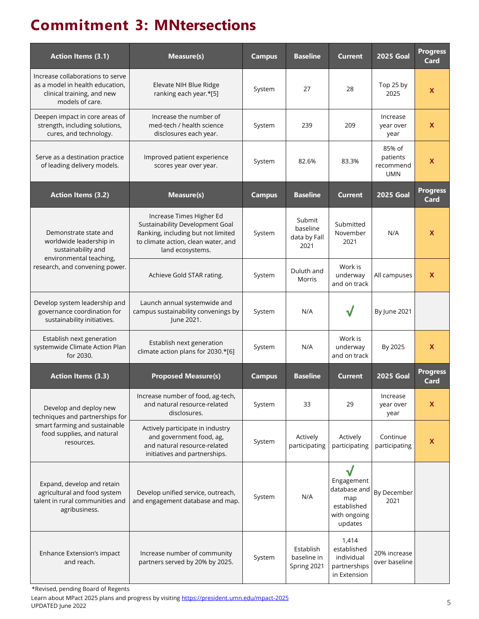## **Commitment 3: MNtersections**

| <b>Action Items (3.1)</b>                                                                                                           | Measure(s)                                                                                                                                                   | <b>Campus</b> | <b>Baseline</b>                            | <b>Current</b>                                                                   | <b>2025 Goal</b>                              | <b>Progress</b><br>Card |
|-------------------------------------------------------------------------------------------------------------------------------------|--------------------------------------------------------------------------------------------------------------------------------------------------------------|---------------|--------------------------------------------|----------------------------------------------------------------------------------|-----------------------------------------------|-------------------------|
| Increase collaborations to serve<br>as a model in health education,<br>clinical training, and new<br>models of care.                | Elevate NIH Blue Ridge<br>ranking each year.*[5]                                                                                                             | System        | 27                                         | 28                                                                               | Top 25 by<br>2025                             | X                       |
| Deepen impact in core areas of<br>strength, including solutions,<br>cures, and technology.                                          | Increase the number of<br>med-tech / health science<br>disclosures each year.                                                                                | System        | 239                                        | 209                                                                              | Increase<br>vear over<br>year                 | X                       |
| Serve as a destination practice<br>of leading delivery models.                                                                      | Improved patient experience<br>scores year over year.                                                                                                        | System        | 82.6%                                      | 83.3%                                                                            | 85% of<br>patients<br>recommend<br><b>UMN</b> | X                       |
| <b>Action Items (3.2)</b>                                                                                                           | Measure(s)                                                                                                                                                   | <b>Campus</b> | <b>Baseline</b>                            | <b>Current</b>                                                                   | <b>2025 Goal</b>                              | <b>Progress</b><br>Card |
| Demonstrate state and<br>worldwide leadership in<br>sustainability and<br>environmental teaching,<br>research, and convening power. | Increase Times Higher Ed<br>Sustainability Development Goal<br>Ranking, including but not limited<br>to climate action, clean water, and<br>land ecosystems. | System        | Submit<br>baseline<br>data by Fall<br>2021 | Submitted<br>November<br>2021                                                    | N/A                                           | X                       |
|                                                                                                                                     | Achieve Gold STAR rating.                                                                                                                                    | System        | Duluth and<br>Morris                       | Work is<br>underway<br>and on track                                              | All campuses                                  | X                       |
| Develop system leadership and<br>governance coordination for<br>sustainability initiatives.                                         | Launch annual systemwide and<br>campus sustainability convenings by<br>June 2021.                                                                            | System        | N/A                                        |                                                                                  | By June 2021                                  |                         |
| Establish next generation<br>systemwide Climate Action Plan<br>for 2030.                                                            | Establish next generation<br>climate action plans for 2030.*[6]                                                                                              | System        | N/A                                        | Work is<br>underway<br>and on track                                              | By 2025                                       | X.                      |
| <b>Action Items (3.3)</b>                                                                                                           | <b>Proposed Measure(s)</b>                                                                                                                                   | <b>Campus</b> | <b>Baseline</b>                            | <b>Current</b>                                                                   | <b>2025 Goal</b>                              | <b>Progress</b><br>Card |
| Develop and deploy new<br>techniques and partnerships for                                                                           | Increase number of food, ag-tech,<br>and natural resource-related<br>disclosures.                                                                            | System        | 33                                         | 29                                                                               | Increase<br>year over<br>year                 | X                       |
| smart farming and sustainable<br>food supplies, and natural<br>resources.                                                           | Actively participate in industry<br>and government food, ag,<br>and natural resource-related<br>initiatives and partnerships.                                | System        | Actively<br>participating                  | Actively<br>participating                                                        | Continue<br>participating                     | X                       |
| Expand, develop and retain<br>agricultural and food system<br>talent in rural communities and<br>agribusiness.                      | Develop unified service, outreach,<br>and engagement database and map.                                                                                       | System        | N/A                                        | √<br>Engagement<br>database and<br>map<br>established<br>with ongoing<br>updates | By December<br>2021                           |                         |
| Enhance Extension's impact<br>and reach.                                                                                            | Increase number of community<br>partners served by 20% by 2025.                                                                                              | System        | Establish<br>baseline in<br>Spring 2021    | 1,414<br>established<br>individual<br>partnerships<br>in Extension               | 20% increase<br>over baseline                 |                         |

\*Revised, pending Board of Regents

Learn about MPact 2025 plans and progress by visitin[g https://president.umn.edu/mpact-2025](https://president.umn.edu/mpact-2025) UPDATED June 2022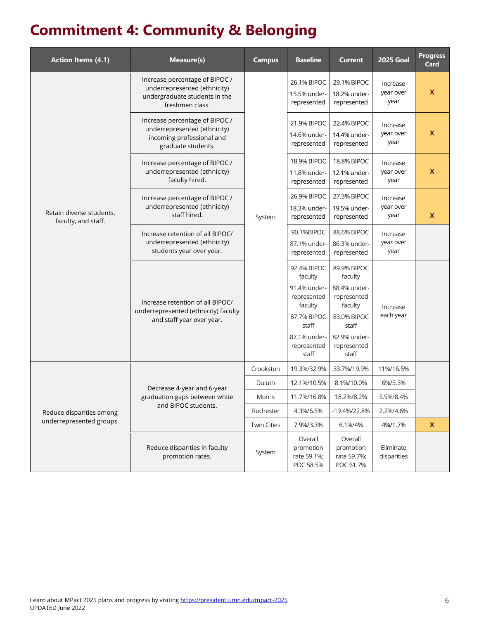# **Commitment 4: Community & Belonging**

| <b>Action Items (4.1)</b>                       | Measure(s)                                                                                                         | <b>Campus</b>      | <b>Baseline</b>                                                                                                                  | <b>Current</b>                                                                                                                   | <b>2025 Goal</b>              | <b>Progress</b><br><b>Card</b> |
|-------------------------------------------------|--------------------------------------------------------------------------------------------------------------------|--------------------|----------------------------------------------------------------------------------------------------------------------------------|----------------------------------------------------------------------------------------------------------------------------------|-------------------------------|--------------------------------|
|                                                 | Increase percentage of BIPOC /<br>underrepresented (ethnicity)<br>undergraduate students in the<br>freshmen class. |                    | 26.1% BIPOC<br>15.5% under-<br>represented                                                                                       | 29.1% BIPOC<br>18.2% under-<br>represented                                                                                       | Increase<br>year over<br>year | X                              |
|                                                 | Increase percentage of BIPOC /<br>underrepresented (ethnicity)<br>incoming professional and<br>graduate students.  |                    | 21.9% BIPOC<br>14.6% under-<br>represented                                                                                       | 22.4% BIPOC<br>14.4% under-<br>represented                                                                                       | Increase<br>year over<br>year | X                              |
|                                                 | Increase percentage of BIPOC /<br>underrepresented (ethnicity)<br>faculty hired.                                   |                    | <b>18.9% BIPOC</b><br>11.8% under-<br>represented                                                                                | <b>18.8% BIPOC</b><br>12.1% under-<br>represented                                                                                | Increase<br>year over<br>year | $\boldsymbol{\mathsf{x}}$      |
| Retain diverse students,<br>faculty, and staff. | Increase percentage of BIPOC /<br>underrepresented (ethnicity)<br>staff hired.                                     | System             | 26.9% BIPOC<br>18.3% under-<br>represented                                                                                       | 27.3% BIPOC<br>19.5% under-<br>represented                                                                                       | Increase<br>year over<br>year | X                              |
|                                                 | Increase retention of all BIPOC/<br>underrepresented (ethnicity)<br>students year over year.                       |                    | 90.1%BIPOC<br>87.1% under-<br>represented                                                                                        | 88.6% BIPOC<br>86.3% under-<br>represented                                                                                       | Increase<br>year over<br>year |                                |
|                                                 | Increase retention of all BIPOC/<br>underrepresented (ethnicity) faculty<br>and staff year over year.              |                    | 92.4% BIPOC<br>faculty<br>91.4% under-<br>represented<br>faculty<br>87.7% BIPOC<br>staff<br>87.1% under-<br>represented<br>staff | 89.9% BIPOC<br>faculty<br>88.4% under-<br>represented<br>faculty<br>83.0% BIPOC<br>staff<br>82.9% under-<br>represented<br>staff | Increase<br>each year         |                                |
|                                                 |                                                                                                                    | Crookston          | 19.3%/32.9%                                                                                                                      | 33.7%/19.9%                                                                                                                      | 11%/16.5%                     |                                |
|                                                 | Decrease 4-year and 6-year                                                                                         | Duluth             | 12.1%/10.5%                                                                                                                      | 8.1%/10.0%                                                                                                                       | 6%/5.3%                       |                                |
|                                                 | graduation gaps between white<br>and BIPOC students.                                                               | Morris             | 11.7%/16.8%                                                                                                                      | 18.2%/8.2%                                                                                                                       | 5.9%/8.4%                     |                                |
| Reduce disparities among                        |                                                                                                                    | Rochester          | 4.3%/6.5%                                                                                                                        | -19.4%/22.8%                                                                                                                     | 2.2%/4.6%                     |                                |
| underrepresented groups.                        |                                                                                                                    | <b>Twin Cities</b> | 7.9%/3.3%                                                                                                                        | 6.1%/4%                                                                                                                          | 4%/1.7%                       | X                              |
|                                                 | Reduce disparities in faculty<br>promotion rates.                                                                  | System             | Overall<br>promotion<br>rate 59.1%;<br>POC 58.5%                                                                                 | Overall<br>promotion<br>rate 59.7%;<br>POC 61.7%                                                                                 | Eliminate<br>disparities      |                                |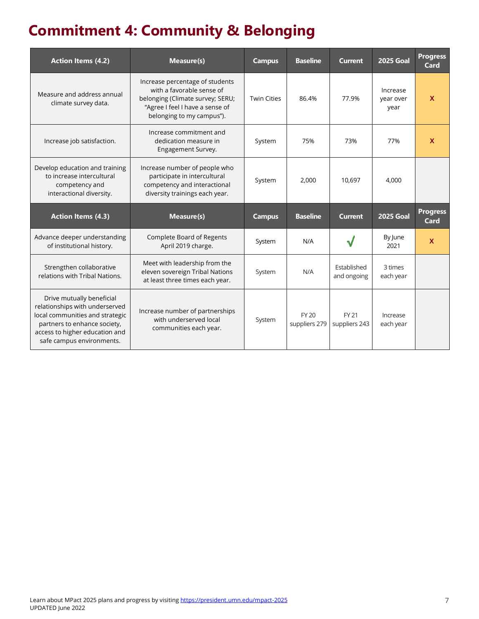# **Commitment 4: Community & Belonging**

| <b>Action Items (4.2)</b>                                                                                 | Measure(s)                                                                                                                                                       | <b>Campus</b>      | <b>Baseline</b> | <b>Current</b>             | <b>2025 Goal</b>              | <b>Progress</b><br>Card |
|-----------------------------------------------------------------------------------------------------------|------------------------------------------------------------------------------------------------------------------------------------------------------------------|--------------------|-----------------|----------------------------|-------------------------------|-------------------------|
| Measure and address annual<br>climate survey data.                                                        | Increase percentage of students<br>with a favorable sense of<br>belonging (Climate survey; SERU;<br>"Agree I feel I have a sense of<br>belonging to my campus"). | <b>Twin Cities</b> | 86.4%           | 77.9%                      | Increase<br>year over<br>year | $\mathbf x$             |
| Increase job satisfaction.                                                                                | Increase commitment and<br>dedication measure in<br>Engagement Survey.                                                                                           | System             | 75%             | 73%                        | 77%                           | $\mathbf x$             |
| Develop education and training<br>to increase intercultural<br>competency and<br>interactional diversity. | Increase number of people who<br>participate in intercultural<br>competency and interactional<br>diversity trainings each year.                                  | System             | 2,000           | 10.697                     | 4,000                         |                         |
|                                                                                                           |                                                                                                                                                                  |                    |                 |                            |                               |                         |
| <b>Action Items (4.3)</b>                                                                                 | <b>Measure(s)</b>                                                                                                                                                | <b>Campus</b>      | <b>Baseline</b> | <b>Current</b>             | <b>2025 Goal</b>              | <b>Progress</b><br>Card |
| Advance deeper understanding<br>of institutional history.                                                 | <b>Complete Board of Regents</b><br>April 2019 charge.                                                                                                           | System             | N/A             |                            | By June<br>2021               | X                       |
| Strengthen collaborative<br>relations with Tribal Nations.                                                | Meet with leadership from the<br>eleven sovereign Tribal Nations<br>at least three times each year.                                                              | System             | N/A             | Established<br>and ongoing | 3 times<br>each year          |                         |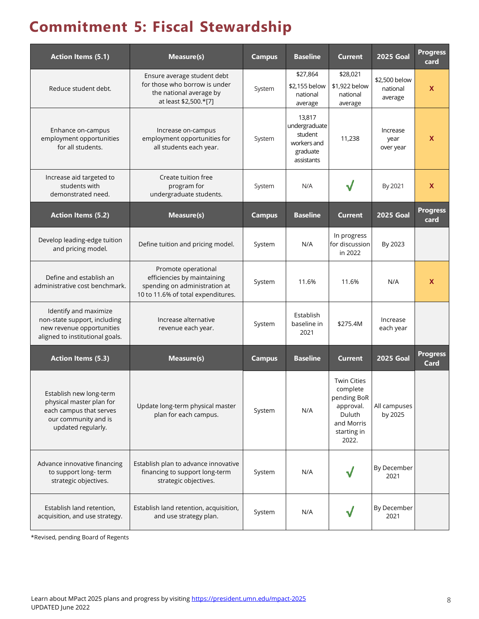# **Commitment 5: Fiscal Stewardship**

| <b>Action Items (5.1)</b>                                                                                                    | Measure(s)                                                                                                                | <b>Campus</b> | <b>Baseline</b>                                                             | <b>Current</b>                                                                                             | <b>2025 Goal</b>                     | <b>Progress</b><br>card |
|------------------------------------------------------------------------------------------------------------------------------|---------------------------------------------------------------------------------------------------------------------------|---------------|-----------------------------------------------------------------------------|------------------------------------------------------------------------------------------------------------|--------------------------------------|-------------------------|
| Reduce student debt.                                                                                                         | Ensure average student debt<br>for those who borrow is under<br>the national average by<br>at least \$2,500.*[7]          | System        | \$27,864<br>\$2,155 below<br>national<br>average                            | \$28,021<br>\$1,922 below<br>national<br>average                                                           | \$2,500 below<br>national<br>average | X                       |
| Enhance on-campus<br>employment opportunities<br>for all students.                                                           | Increase on-campus<br>employment opportunities for<br>all students each year.                                             | System        | 13,817<br>undergraduate<br>student<br>workers and<br>graduate<br>assistants | 11,238                                                                                                     | Increase<br>year<br>over year        | <b>X</b>                |
| Increase aid targeted to<br>students with<br>demonstrated need.                                                              | Create tuition free<br>program for<br>undergraduate students.                                                             | System        | N/A                                                                         |                                                                                                            | By 2021                              | X                       |
| <b>Action Items (5.2)</b>                                                                                                    | Measure(s)                                                                                                                | <b>Campus</b> | <b>Baseline</b>                                                             | <b>Current</b>                                                                                             | <b>2025 Goal</b>                     | <b>Progress</b><br>card |
| Develop leading-edge tuition<br>and pricing model.                                                                           | Define tuition and pricing model.                                                                                         | System        | N/A                                                                         | In progress<br>for discussion<br>in 2022                                                                   | By 2023                              |                         |
| Define and establish an<br>administrative cost benchmark.                                                                    | Promote operational<br>efficiencies by maintaining<br>spending on administration at<br>10 to 11.6% of total expenditures. | System        | 11.6%                                                                       | 11.6%                                                                                                      | N/A                                  | <b>X</b>                |
| Identify and maximize<br>non-state support, including<br>new revenue opportunities<br>aligned to institutional goals.        | Increase alternative<br>revenue each year.                                                                                | System        | Establish<br>baseline in<br>2021                                            | \$275.4M                                                                                                   | Increase<br>each year                |                         |
| <b>Action Items (5.3)</b>                                                                                                    | Measure(s)                                                                                                                | <b>Campus</b> | <b>Baseline</b>                                                             | <b>Current</b>                                                                                             | <b>2025 Goal</b>                     | <b>Progress</b><br>Card |
| Establish new long-term<br>physical master plan for<br>each campus that serves<br>our community and is<br>updated regularly. | Update long-term physical master<br>plan for each campus.                                                                 | System        | N/A                                                                         | <b>Twin Cities</b><br>complete<br>pending BoR<br>approval.<br>Duluth<br>and Morris<br>starting in<br>2022. | All campuses<br>by 2025              |                         |
| Advance innovative financing<br>to support long-term<br>strategic objectives.                                                | Establish plan to advance innovative<br>financing to support long-term<br>strategic objectives.                           | System        | N/A                                                                         |                                                                                                            | By December<br>2021                  |                         |
| Establish land retention,<br>acquisition, and use strategy.                                                                  | Establish land retention, acquisition,<br>and use strategy plan.                                                          | System        | N/A                                                                         |                                                                                                            | By December<br>2021                  |                         |

\*Revised, pending Board of Regents